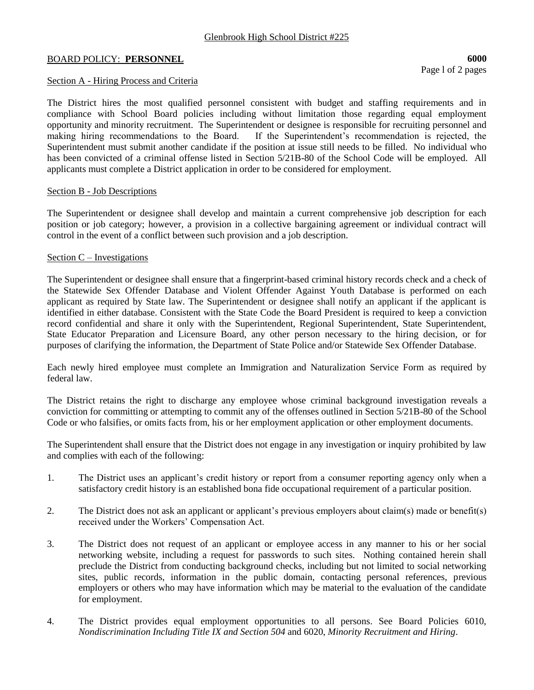# BOARD POLICY: **PERSONNEL** 6000

Page l of 2 pages

# Section A - Hiring Process and Criteria

The District hires the most qualified personnel consistent with budget and staffing requirements and in compliance with School Board policies including without limitation those regarding equal employment opportunity and minority recruitment. The Superintendent or designee is responsible for recruiting personnel and making hiring recommendations to the Board. If the Superintendent's recommendation is rejected, the Superintendent must submit another candidate if the position at issue still needs to be filled. No individual who has been convicted of a criminal offense listed in Section 5/21B-80 of the School Code will be employed. All applicants must complete a District application in order to be considered for employment.

### Section B - Job Descriptions

The Superintendent or designee shall develop and maintain a current comprehensive job description for each position or job category; however, a provision in a collective bargaining agreement or individual contract will control in the event of a conflict between such provision and a job description.

### Section  $C$  – Investigations

The Superintendent or designee shall ensure that a fingerprint-based criminal history records check and a check of the Statewide Sex Offender Database and Violent Offender Against Youth Database is performed on each applicant as required by State law. The Superintendent or designee shall notify an applicant if the applicant is identified in either database. Consistent with the State Code the Board President is required to keep a conviction record confidential and share it only with the Superintendent, Regional Superintendent, State Superintendent, State Educator Preparation and Licensure Board, any other person necessary to the hiring decision, or for purposes of clarifying the information, the Department of State Police and/or Statewide Sex Offender Database.

Each newly hired employee must complete an Immigration and Naturalization Service Form as required by federal law.

The District retains the right to discharge any employee whose criminal background investigation reveals a conviction for committing or attempting to commit any of the offenses outlined in Section 5/21B-80 of the School Code or who falsifies, or omits facts from, his or her employment application or other employment documents.

The Superintendent shall ensure that the District does not engage in any investigation or inquiry prohibited by law and complies with each of the following:

- 1. The District uses an applicant's credit history or report from a consumer reporting agency only when a satisfactory credit history is an established bona fide occupational requirement of a particular position.
- 2. The District does not ask an applicant or applicant's previous employers about claim(s) made or benefit(s) received under the Workers' Compensation Act.
- 3. The District does not request of an applicant or employee access in any manner to his or her social networking website, including a request for passwords to such sites. Nothing contained herein shall preclude the District from conducting background checks, including but not limited to social networking sites, public records, information in the public domain, contacting personal references, previous employers or others who may have information which may be material to the evaluation of the candidate for employment.
- 4. The District provides equal employment opportunities to all persons. See Board Policies 6010, *Nondiscrimination Including Title IX and Section 504* and 6020, *Minority Recruitment and Hiring*.